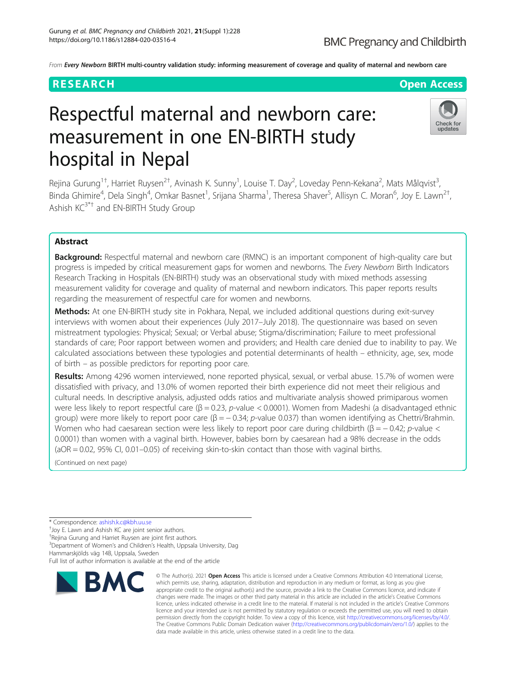# **BMC Pregnancy and Childbirth**

From Every Newborn BIRTH multi-country validation study: informing measurement of coverage and quality of maternal and newborn care

## **RESEARCH CHOOSE INTERNATIONAL CONTRACT CONTRACT CONTRACT CONTRACT CONTRACT CONTRACT CONTRACT CONTRACT CONTRACT CONTRACT CONTRACT CONTRACT CONTRACT CONTRACT CONTRACT CONTRACT CONTRACT CONTRACT CONTRACT CONTRACT CONTRACT**

# Respectful maternal and newborn care: measurement in one EN-BIRTH study hospital in Nepal



Rejina Gurung<sup>1†</sup>, Harriet Ruysen<sup>2†</sup>, Avinash K. Sunny<sup>1</sup>, Louise T. Day<sup>2</sup>, Loveday Penn-Kekana<sup>2</sup>, Mats Målqvist<sup>3</sup> , Binda Ghimire<sup>4</sup>, Dela Singh<sup>4</sup>, Omkar Basnet<sup>1</sup>, Srijana Sharma<sup>1</sup>, Theresa Shaver<sup>5</sup>, Allisyn C. Moran<sup>6</sup>, Joy E. Lawn<sup>2†</sup> , Ashish  $KC^{3*+}$  and EN-BIRTH Study Group

### Abstract

Background: Respectful maternal and newborn care (RMNC) is an important component of high-quality care but progress is impeded by critical measurement gaps for women and newborns. The Every Newborn Birth Indicators Research Tracking in Hospitals (EN-BIRTH) study was an observational study with mixed methods assessing measurement validity for coverage and quality of maternal and newborn indicators. This paper reports results regarding the measurement of respectful care for women and newborns.

Methods: At one EN-BIRTH study site in Pokhara, Nepal, we included additional questions during exit-survey interviews with women about their experiences (July 2017–July 2018). The questionnaire was based on seven mistreatment typologies: Physical; Sexual; or Verbal abuse; Stigma/discrimination; Failure to meet professional standards of care; Poor rapport between women and providers; and Health care denied due to inability to pay. We calculated associations between these typologies and potential determinants of health – ethnicity, age, sex, mode of birth – as possible predictors for reporting poor care.

Results: Among 4296 women interviewed, none reported physical, sexual, or verbal abuse. 15.7% of women were dissatisfied with privacy, and 13.0% of women reported their birth experience did not meet their religious and cultural needs. In descriptive analysis, adjusted odds ratios and multivariate analysis showed primiparous women were less likely to report respectful care  $(β = 0.23, p-value < 0.0001)$ . Women from Madeshi (a disadvantaged ethnic group) were more likely to report poor care ( $\beta = -0.34$ ; p-value 0.037) than women identifying as Chettri/Brahmin. Women who had caesarean section were less likely to report poor care during childbirth ( $\beta = -0.42$ ; p-value < 0.0001) than women with a vaginal birth. However, babies born by caesarean had a 98% decrease in the odds (aOR = 0.02, 95% CI, 0.01–0.05) of receiving skin-to-skin contact than those with vaginal births.

(Continued on next page)

\* Correspondence: [ashish.k.c@kbh.uu.se](mailto:ashish.k.c@kbh.uu.se) †

Joy E. Lawn and Ashish KC are joint senior authors.

† Rejina Gurung and Harriet Ruysen are joint first authors.

<sup>3</sup>Department of Women's and Children's Health, Uppsala University, Dag

Hammarskjölds väg 14B, Uppsala, Sweden

Full list of author information is available at the end of the article



<sup>©</sup> The Author(s), 2021 **Open Access** This article is licensed under a Creative Commons Attribution 4.0 International License, which permits use, sharing, adaptation, distribution and reproduction in any medium or format, as long as you give appropriate credit to the original author(s) and the source, provide a link to the Creative Commons licence, and indicate if changes were made. The images or other third party material in this article are included in the article's Creative Commons licence, unless indicated otherwise in a credit line to the material. If material is not included in the article's Creative Commons licence and your intended use is not permitted by statutory regulation or exceeds the permitted use, you will need to obtain permission directly from the copyright holder. To view a copy of this licence, visit [http://creativecommons.org/licenses/by/4.0/.](http://creativecommons.org/licenses/by/4.0/) The Creative Commons Public Domain Dedication waiver [\(http://creativecommons.org/publicdomain/zero/1.0/](http://creativecommons.org/publicdomain/zero/1.0/)) applies to the data made available in this article, unless otherwise stated in a credit line to the data.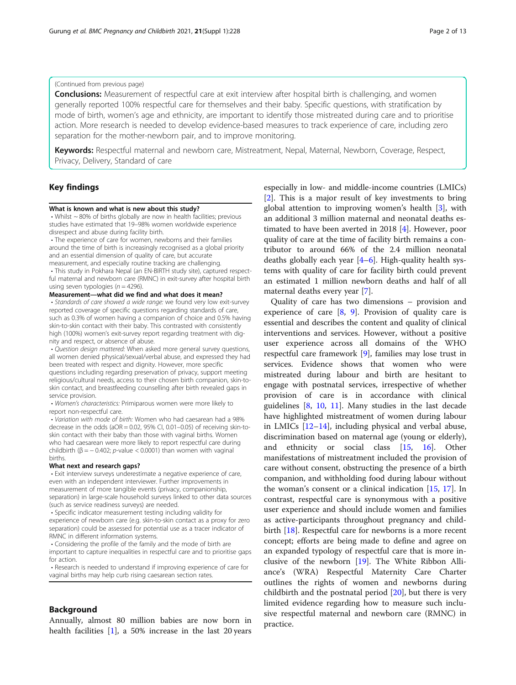#### (Continued from previous page)

**Conclusions:** Measurement of respectful care at exit interview after hospital birth is challenging, and women generally reported 100% respectful care for themselves and their baby. Specific questions, with stratification by mode of birth, women's age and ethnicity, are important to identify those mistreated during care and to prioritise action. More research is needed to develop evidence-based measures to track experience of care, including zero separation for the mother-newborn pair, and to improve monitoring.

Keywords: Respectful maternal and newborn care, Mistreatment, Nepal, Maternal, Newborn, Coverage, Respect, Privacy, Delivery, Standard of care

#### Key findings

#### What is known and what is new about this study?

• Whilst ~ 80% of births globally are now in health facilities; previous studies have estimated that 19–98% women worldwide experience disrespect and abuse during facility birth.

• The experience of care for women, newborns and their families around the time of birth is increasingly recognised as a global priority and an essential dimension of quality of care, but accurate measurement, and especially routine tracking are challenging. • This study in Pokhara Nepal (an EN-BIRTH study site), captured respect-

ful maternal and newborn care (RMNC) in exit-survey after hospital birth using seven typologies ( $n = 4296$ ). Measurement—what did we find and what does it mean?

#### • Standards of care showed a wide range: we found very low exit-survey reported coverage of specific questions regarding standards of care, such as 0.3% of women having a companion of choice and 0.5% having skin-to-skin contact with their baby. This contrasted with consistently high (100%) women's exit-survey report regarding treatment with dignity and respect, or absence of abuse.

• Question design mattered: When asked more general survey questions, all women denied physical/sexual/verbal abuse, and expressed they had been treated with respect and dignity. However, more specific questions including regarding preservation of privacy, support meeting religious/cultural needs, access to their chosen birth companion, skin-toskin contact, and breastfeeding counselling after birth revealed gaps in service provision.

• Women's characteristics: Primiparous women were more likely to report non-respectful care.

• Variation with mode of birth: Women who had caesarean had a 98% decrease in the odds ( $aOR = 0.02$ , 95% CI, 0.01-0.05) of receiving skin-toskin contact with their baby than those with vaginal births. Women who had caesarean were more likely to report respectful care during childbirth ( $\beta$  = -0.402; *p*-value < 0.0001) than women with vaginal births.

#### What next and research gaps?

• Exit interview surveys underestimate a negative experience of care, even with an independent interviewer. Further improvements in measurement of more tangible events (privacy, companionship, separation) in large-scale household surveys linked to other data sources (such as service readiness surveys) are needed.

• Specific indicator measurement testing including validity for experience of newborn care (e.g. skin-to-skin contact as a proxy for zero separation) could be assessed for potential use as a tracer indicator of RMNC in different information systems.

• Considering the profile of the family and the mode of birth are important to capture inequalities in respectful care and to prioritise gaps for action.

• Research is needed to understand if improving experience of care for vaginal births may help curb rising caesarean section rates.

#### Background

Annually, almost 80 million babies are now born in health facilities [\[1](#page-11-0)], a 50% increase in the last 20 years

especially in low- and middle-income countries (LMICs) [[2\]](#page-11-0). This is a major result of key investments to bring global attention to improving women's health [\[3](#page-11-0)], with an additional 3 million maternal and neonatal deaths estimated to have been averted in 2018 [\[4](#page-11-0)]. However, poor quality of care at the time of facility birth remains a contributor to around 66% of the 2.4 million neonatal deaths globally each year [[4](#page-11-0)–[6\]](#page-11-0). High-quality health systems with quality of care for facility birth could prevent an estimated 1 million newborn deaths and half of all maternal deaths every year [\[7](#page-11-0)].

Quality of care has two dimensions – provision and experience of care  $[8, 9]$  $[8, 9]$  $[8, 9]$ . Provision of quality care is essential and describes the content and quality of clinical interventions and services. However, without a positive user experience across all domains of the WHO respectful care framework [\[9](#page-11-0)], families may lose trust in services. Evidence shows that women who were mistreated during labour and birth are hesitant to engage with postnatal services, irrespective of whether provision of care is in accordance with clinical guidelines [\[8](#page-11-0), [10,](#page-11-0) [11](#page-11-0)]. Many studies in the last decade have highlighted mistreatment of women during labour in LMICs [\[12](#page-11-0)–[14\]](#page-11-0), including physical and verbal abuse, discrimination based on maternal age (young or elderly), and ethnicity or social class [[15,](#page-11-0) [16\]](#page-11-0). Other manifestations of mistreatment included the provision of care without consent, obstructing the presence of a birth companion, and withholding food during labour without the woman's consent or a clinical indication [[15,](#page-11-0) [17](#page-11-0)]. In contrast, respectful care is synonymous with a positive user experience and should include women and families as active-participants throughout pregnancy and childbirth [[18\]](#page-11-0). Respectful care for newborns is a more recent concept; efforts are being made to define and agree on an expanded typology of respectful care that is more inclusive of the newborn [\[19](#page-11-0)]. The White Ribbon Alliance's (WRA) Respectful Maternity Care Charter outlines the rights of women and newborns during childbirth and the postnatal period [[20\]](#page-11-0), but there is very limited evidence regarding how to measure such inclusive respectful maternal and newborn care (RMNC) in practice.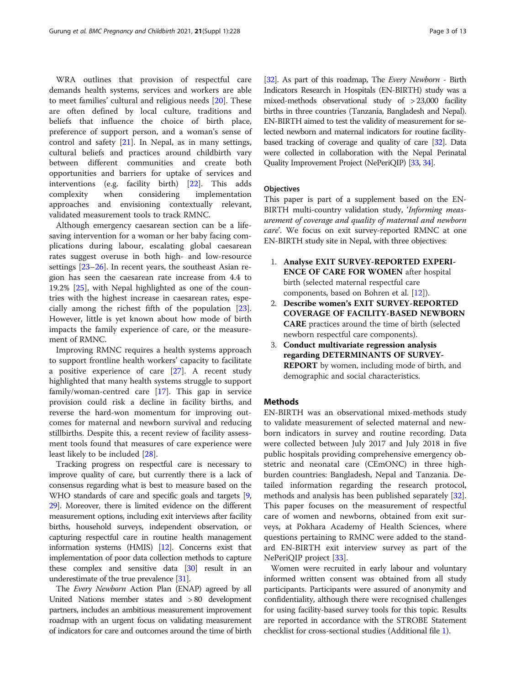WRA outlines that provision of respectful care demands health systems, services and workers are able to meet families' cultural and religious needs [[20\]](#page-11-0). These are often defined by local culture, traditions and beliefs that influence the choice of birth place, preference of support person, and a woman's sense of control and safety [\[21](#page-11-0)]. In Nepal, as in many settings, cultural beliefs and practices around childbirth vary between different communities and create both opportunities and barriers for uptake of services and interventions (e.g. facility birth) [\[22\]](#page-11-0). This adds complexity when considering implementation approaches and envisioning contextually relevant, validated measurement tools to track RMNC.

Although emergency caesarean section can be a lifesaving intervention for a woman or her baby facing complications during labour, escalating global caesarean rates suggest overuse in both high- and low-resource settings [\[23](#page-11-0)–[26\]](#page-11-0). In recent years, the southeast Asian region has seen the caesarean rate increase from 4.4 to 19.2% [[25](#page-11-0)], with Nepal highlighted as one of the countries with the highest increase in caesarean rates, especially among the richest fifth of the population [\[23](#page-11-0)]. However, little is yet known about how mode of birth impacts the family experience of care, or the measurement of RMNC.

Improving RMNC requires a health systems approach to support frontline health workers' capacity to facilitate a positive experience of care [[27\]](#page-11-0). A recent study highlighted that many health systems struggle to support family/woman-centred care [\[17\]](#page-11-0). This gap in service provision could risk a decline in facility births, and reverse the hard-won momentum for improving outcomes for maternal and newborn survival and reducing stillbirths. Despite this, a recent review of facility assessment tools found that measures of care experience were least likely to be included [\[28\]](#page-11-0).

Tracking progress on respectful care is necessary to improve quality of care, but currently there is a lack of consensus regarding what is best to measure based on the WHO standards of care and specific goals and targets [[9](#page-11-0), [29](#page-11-0)]. Moreover, there is limited evidence on the different measurement options, including exit interviews after facility births, household surveys, independent observation, or capturing respectful care in routine health management information systems (HMIS) [\[12](#page-11-0)]. Concerns exist that implementation of poor data collection methods to capture these complex and sensitive data [[30](#page-11-0)] result in an underestimate of the true prevalence [[31](#page-11-0)].

The Every Newborn Action Plan (ENAP) agreed by all United Nations member states and > 80 development partners, includes an ambitious measurement improvement roadmap with an urgent focus on validating measurement of indicators for care and outcomes around the time of birth [[32\]](#page-11-0). As part of this roadmap, The Every Newborn - Birth Indicators Research in Hospitals (EN-BIRTH) study was a mixed-methods observational study of > 23,000 facility births in three countries (Tanzania, Bangladesh and Nepal). EN-BIRTH aimed to test the validity of measurement for selected newborn and maternal indicators for routine facilitybased tracking of coverage and quality of care [[32\]](#page-11-0). Data were collected in collaboration with the Nepal Perinatal Quality Improvement Project (NePeriQIP) [\[33,](#page-11-0) [34\]](#page-11-0).

#### **Objectives**

This paper is part of a supplement based on the EN-BIRTH multi-country validation study, 'Informing measurement of coverage and quality of maternal and newborn care'. We focus on exit survey-reported RMNC at one EN-BIRTH study site in Nepal, with three objectives:

- 1. Analyse EXIT SURVEY-REPORTED EXPERI-ENCE OF CARE FOR WOMEN after hospital birth (selected maternal respectful care components, based on Bohren et al. [\[12\]](#page-11-0)).
- 2. Describe women's EXIT SURVEY-REPORTED COVERAGE OF FACILITY-BASED NEWBORN CARE practices around the time of birth (selected newborn respectful care components).
- 3. Conduct multivariate regression analysis regarding DETERMINANTS OF SURVEY-**REPORT** by women, including mode of birth, and demographic and social characteristics.

#### **Methods**

EN-BIRTH was an observational mixed-methods study to validate measurement of selected maternal and newborn indicators in survey and routine recording. Data were collected between July 2017 and July 2018 in five public hospitals providing comprehensive emergency obstetric and neonatal care (CEmONC) in three highburden countries: Bangladesh, Nepal and Tanzania. Detailed information regarding the research protocol, methods and analysis has been published separately [\[32](#page-11-0)]. This paper focuses on the measurement of respectful care of women and newborns, obtained from exit surveys, at Pokhara Academy of Health Sciences, where questions pertaining to RMNC were added to the standard EN-BIRTH exit interview survey as part of the NePeriQIP project [[33\]](#page-11-0).

Women were recruited in early labour and voluntary informed written consent was obtained from all study participants. Participants were assured of anonymity and confidentiality, although there were recognised challenges for using facility-based survey tools for this topic. Results are reported in accordance with the STROBE Statement checklist for cross-sectional studies (Additional file [1](#page-10-0)).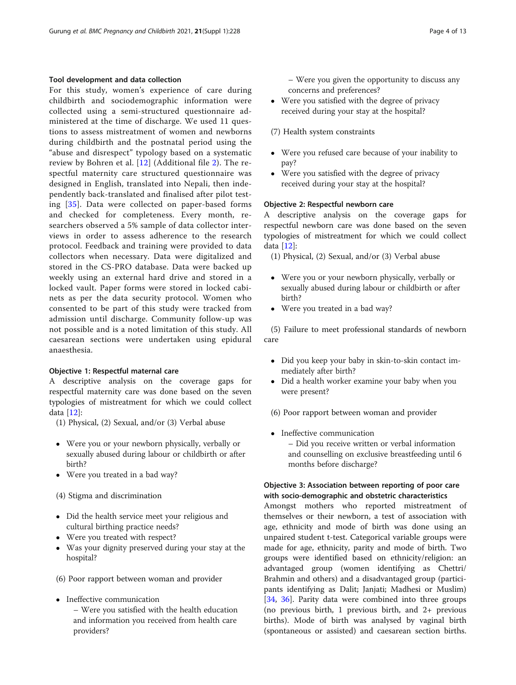#### Tool development and data collection

For this study, women's experience of care during childbirth and sociodemographic information were collected using a semi-structured questionnaire administered at the time of discharge. We used 11 questions to assess mistreatment of women and newborns during childbirth and the postnatal period using the "abuse and disrespect" typology based on a systematic review by Bohren et al. [[12](#page-11-0)] (Additional file [2](#page-10-0)). The respectful maternity care structured questionnaire was designed in English, translated into Nepali, then independently back-translated and finalised after pilot testing [[35\]](#page-11-0). Data were collected on paper-based forms and checked for completeness. Every month, researchers observed a 5% sample of data collector interviews in order to assess adherence to the research protocol. Feedback and training were provided to data collectors when necessary. Data were digitalized and stored in the CS-PRO database. Data were backed up weekly using an external hard drive and stored in a locked vault. Paper forms were stored in locked cabinets as per the data security protocol. Women who consented to be part of this study were tracked from admission until discharge. Community follow-up was not possible and is a noted limitation of this study. All caesarean sections were undertaken using epidural anaesthesia.

#### Objective 1: Respectful maternal care

A descriptive analysis on the coverage gaps for respectful maternity care was done based on the seven typologies of mistreatment for which we could collect data [[12\]](#page-11-0):

- (1) Physical, (2) Sexual, and/or (3) Verbal abuse
- Were you or your newborn physically, verbally or sexually abused during labour or childbirth or after birth?
- Were you treated in a bad way?
- (4) Stigma and discrimination
- Did the health service meet your religious and cultural birthing practice needs?
- Were you treated with respect?
- Was your dignity preserved during your stay at the hospital?
- (6) Poor rapport between woman and provider
- Ineffective communication – Were you satisfied with the health education and information you received from health care providers?
- Were you satisfied with the degree of privacy received during your stay at the hospital?
- (7) Health system constraints
- Were you refused care because of your inability to pay?
- Were you satisfied with the degree of privacy received during your stay at the hospital?

#### Objective 2: Respectful newborn care

A descriptive analysis on the coverage gaps for respectful newborn care was done based on the seven typologies of mistreatment for which we could collect data [\[12\]](#page-11-0):

- (1) Physical, (2) Sexual, and/or (3) Verbal abuse
- Were you or your newborn physically, verbally or sexually abused during labour or childbirth or after birth?
- Were you treated in a bad way?

(5) Failure to meet professional standards of newborn care

- Did you keep your baby in skin-to-skin contact immediately after birth?
- Did a health worker examine your baby when you were present?
- (6) Poor rapport between woman and provider
- Ineffective communication
	- Did you receive written or verbal information and counselling on exclusive breastfeeding until 6 months before discharge?

#### Objective 3: Association between reporting of poor care with socio-demographic and obstetric characteristics

Amongst mothers who reported mistreatment of themselves or their newborn, a test of association with age, ethnicity and mode of birth was done using an unpaired student t-test. Categorical variable groups were made for age, ethnicity, parity and mode of birth. Two groups were identified based on ethnicity/religion: an advantaged group (women identifying as Chettri/ Brahmin and others) and a disadvantaged group (participants identifying as Dalit; Janjati; Madhesi or Muslim) [[34,](#page-11-0) [36](#page-12-0)]. Parity data were combined into three groups (no previous birth, 1 previous birth, and 2+ previous births). Mode of birth was analysed by vaginal birth (spontaneous or assisted) and caesarean section births.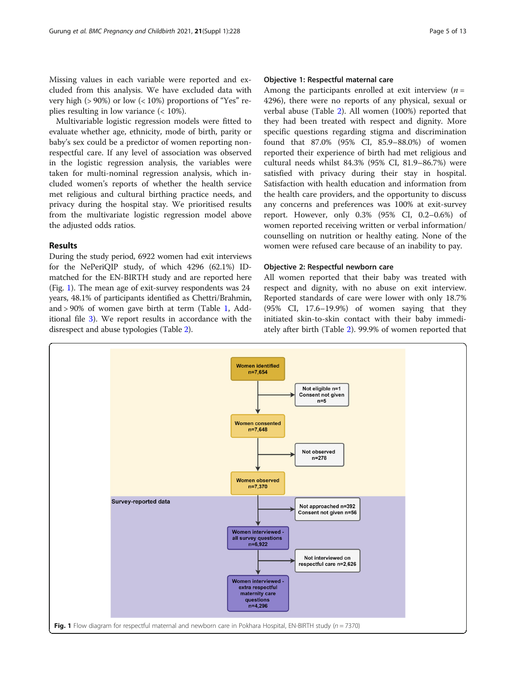Missing values in each variable were reported and excluded from this analysis. We have excluded data with very high ( $> 90\%$ ) or low ( $< 10\%$ ) proportions of "Yes" replies resulting in low variance (< 10%).

Multivariable logistic regression models were fitted to evaluate whether age, ethnicity, mode of birth, parity or baby's sex could be a predictor of women reporting nonrespectful care. If any level of association was observed in the logistic regression analysis, the variables were taken for multi-nominal regression analysis, which included women's reports of whether the health service met religious and cultural birthing practice needs, and privacy during the hospital stay. We prioritised results from the multivariate logistic regression model above the adjusted odds ratios.

#### Results

During the study period, 6922 women had exit interviews for the NePeriQIP study, of which 4296 (62.1%) IDmatched for the EN-BIRTH study and are reported here (Fig. 1). The mean age of exit-survey respondents was 24 years, 48.1% of participants identified as Chettri/Brahmin, and > 90% of women gave birth at term (Table [1](#page-5-0), Additional file [3](#page-10-0)). We report results in accordance with the disrespect and abuse typologies (Table [2](#page-6-0)).

#### Objective 1: Respectful maternal care

Among the participants enrolled at exit interview  $(n =$ 4296), there were no reports of any physical, sexual or verbal abuse (Table [2](#page-6-0)). All women (100%) reported that they had been treated with respect and dignity. More specific questions regarding stigma and discrimination found that 87.0% (95% CI, 85.9–88.0%) of women reported their experience of birth had met religious and cultural needs whilst 84.3% (95% CI, 81.9–86.7%) were satisfied with privacy during their stay in hospital. Satisfaction with health education and information from the health care providers, and the opportunity to discuss any concerns and preferences was 100% at exit-survey report. However, only 0.3% (95% CI, 0.2–0.6%) of women reported receiving written or verbal information/ counselling on nutrition or healthy eating. None of the women were refused care because of an inability to pay.

#### Objective 2: Respectful newborn care

All women reported that their baby was treated with respect and dignity, with no abuse on exit interview. Reported standards of care were lower with only 18.7% (95% CI, 17.6–19.9%) of women saying that they initiated skin-to-skin contact with their baby immediately after birth (Table [2](#page-6-0)). 99.9% of women reported that

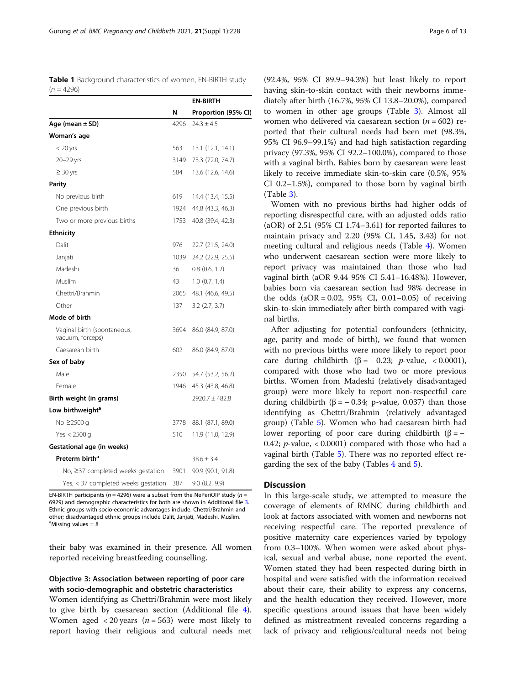<span id="page-5-0"></span>Table 1 Background characteristics of women, EN-BIRTH study  $(n = 4296)$ 

|                                                 |      | EN-BIRTH            |
|-------------------------------------------------|------|---------------------|
|                                                 | N    | Proportion (95% CI) |
| Age (mean $\pm$ SD)                             | 4296 | $24.3 \pm 4.5$      |
| Woman's age                                     |      |                     |
| $<$ 20 yrs                                      | 563  | 13.1 (12.1, 14.1)   |
| 20-29 yrs                                       | 3149 | 73.3 (72.0, 74.7)   |
| $\geq$ 30 yrs                                   | 584  | 13.6 (12.6, 14.6)   |
| <b>Parity</b>                                   |      |                     |
| No previous birth                               | 619  | 14.4 (13.4, 15.5)   |
| One previous birth                              | 1924 | 44.8 (43.3, 46.3)   |
| Two or more previous births                     | 1753 | 40.8 (39.4, 42.3)   |
| <b>Ethnicity</b>                                |      |                     |
| Dalit                                           | 976  | 22.7 (21.5, 24.0)   |
| Janjati                                         | 1039 | 24.2 (22.9, 25.5)   |
| Madeshi                                         | 36   | $0.8$ $(0.6, 1.2)$  |
| Muslim                                          | 43   | 1.0(0.7, 1.4)       |
| Chettri/Brahmin                                 | 2065 | 48.1 (46.6, 49.5)   |
| Other                                           | 137  | $3.2$ (2.7, 3.7)    |
| Mode of birth                                   |      |                     |
| Vaginal birth (spontaneous,<br>vacuum, forceps) | 3694 | 86.0 (84.9, 87.0)   |
| Caesarean birth                                 | 602  | 86.0 (84.9, 87.0)   |
| Sex of baby                                     |      |                     |
| Male                                            | 2350 | 54.7 (53.2, 56.2)   |
| Female                                          | 1946 | 45.3 (43.8, 46.8)   |
| Birth weight (in grams)                         |      | $2920.7 \pm 482.8$  |
| Low birthweight <sup>a</sup>                    |      |                     |
| No ≥2500 g                                      | 3778 | 88.1 (87.1, 89.0)   |
| Yes $<$ 2500 g                                  | 510  | 11.9 (11.0, 12.9)   |
| Gestational age (in weeks)                      |      |                     |
| Preterm birth <sup>a</sup>                      |      | $38.6 \pm 3.4$      |
| No, ≥37 completed weeks gestation               | 3901 | 90.9 (90.1, 91.8)   |
| Yes, < 37 completed weeks gestation             | 387  | 9.0 (8.2, 9.9)      |

EN-BIRTH participants ( $n = 4296$ ) were a subset from the NePeriQIP study ( $n =$ 6929) and demographic characteristics for both are shown in Additional file [3](#page-10-0). Ethnic groups with socio-economic advantages include: Chettri/Brahmin and other; disadvantaged ethnic groups include Dalit, Janjati, Madeshi, Muslim. <sup>a</sup>Missing values =  $\overline{8}$ 

their baby was examined in their presence. All women reported receiving breastfeeding counselling.

#### Objective 3: Association between reporting of poor care with socio-demographic and obstetric characteristics

Women identifying as Chettri/Brahmin were most likely to give birth by caesarean section (Additional file [4](#page-10-0)). Women aged  $\langle 20 \rangle$  years (*n* = 563) were most likely to report having their religious and cultural needs met (92.4%, 95% CI 89.9–94.3%) but least likely to report having skin-to-skin contact with their newborns immediately after birth (16.7%, 95% CI 13.8–20.0%), compared to women in other age groups (Table [3](#page-6-0)). Almost all women who delivered via caesarean section ( $n = 602$ ) reported that their cultural needs had been met (98.3%, 95% CI 96.9–99.1%) and had high satisfaction regarding privacy (97.3%, 95% CI 92.2–100.0%), compared to those with a vaginal birth. Babies born by caesarean were least likely to receive immediate skin-to-skin care (0.5%, 95% CI 0.2–1.5%), compared to those born by vaginal birth (Table [3\)](#page-6-0).

Women with no previous births had higher odds of reporting disrespectful care, with an adjusted odds ratio (aOR) of 2.51 (95% CI 1.74–3.61) for reported failures to maintain privacy and 2.20 (95% CI, 1.45, 3.43) for not meeting cultural and religious needs (Table [4](#page-7-0)). Women who underwent caesarean section were more likely to report privacy was maintained than those who had vaginal birth (aOR 9.44 95% CI 5.41–16.48%). However, babies born via caesarean section had 98% decrease in the odds  $(aOR = 0.02, 95\% \text{ CI}, 0.01 - 0.05)$  of receiving skin-to-skin immediately after birth compared with vaginal births.

After adjusting for potential confounders (ethnicity, age, parity and mode of birth), we found that women with no previous births were more likely to report poor care during childbirth  $(\beta = -0.23; p-value, < 0.0001)$ , compared with those who had two or more previous births. Women from Madeshi (relatively disadvantaged group) were more likely to report non-respectful care during childbirth (β =  $-$  0.34; p-value, 0.037) than those identifying as Chettri/Brahmin (relatively advantaged group) (Table [5\)](#page-8-0). Women who had caesarean birth had lower reporting of poor care during childbirth (β =  $-$ 0.42;  $p$ -value, < 0.0001) compared with those who had a vaginal birth (Table [5](#page-8-0)). There was no reported effect regarding the sex of the baby (Tables [4](#page-7-0) and [5](#page-8-0)).

#### **Discussion**

In this large-scale study, we attempted to measure the coverage of elements of RMNC during childbirth and look at factors associated with women and newborns not receiving respectful care. The reported prevalence of positive maternity care experiences varied by typology from 0.3–100%. When women were asked about physical, sexual and verbal abuse, none reported the event. Women stated they had been respected during birth in hospital and were satisfied with the information received about their care, their ability to express any concerns, and the health education they received. However, more specific questions around issues that have been widely defined as mistreatment revealed concerns regarding a lack of privacy and religious/cultural needs not being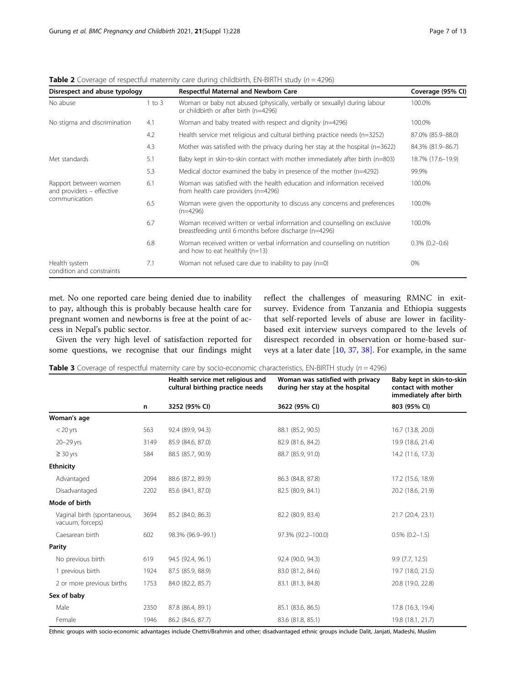| Page 7 of 1 |  |  |
|-------------|--|--|
|             |  |  |

| Disrespect and abuse typology                                                                                  | Coverage (95% CI) |                                                                                                                                     |                     |
|----------------------------------------------------------------------------------------------------------------|-------------------|-------------------------------------------------------------------------------------------------------------------------------------|---------------------|
| No abuse                                                                                                       | 1 to 3            | Woman or baby not abused (physically, verbally or sexually) during labour<br>or childbirth or after birth (n=4296)                  | 100.0%              |
| No stigma and discrimination                                                                                   | 4.1               | Woman and baby treated with respect and dignity (n=4296)                                                                            | 100.0%              |
|                                                                                                                | 4.2               | Health service met religious and cultural birthing practice needs (n=3252)                                                          | 87.0% (85.9–88.0)   |
|                                                                                                                | 4.3               | Mother was satisfied with the privacy during her stay at the hospital $(n=3622)$                                                    | 84.3% (81.9-86.7)   |
| Met standards                                                                                                  | 5.1               | Baby kept in skin-to-skin contact with mother immediately after birth (n=803)                                                       | 18.7% (17.6-19.9)   |
|                                                                                                                | 5.3               | Medical doctor examined the baby in presence of the mother (n=4292)                                                                 | 99.9%               |
| Rapport between women<br>and providers - effective                                                             | 6.1               | Woman was satisfied with the health education and information received<br>from health care providers (n=4296)                       | 100.0%              |
| communication<br>6.5<br>Woman were given the opportunity to discuss any concerns and preferences<br>$(n=4296)$ |                   | 100.0%                                                                                                                              |                     |
|                                                                                                                | 6.7               | Woman received written or verbal information and counselling on exclusive<br>breastfeeding until 6 months before discharge (n=4296) | 100.0%              |
|                                                                                                                | 6.8               | Woman received written or verbal information and counselling on nutrition<br>and how to eat healthily $(n=13)$                      | $0.3\%$ $(0.2-0.6)$ |
| Health system<br>condition and constraints                                                                     | 7.1               | Woman not refused care due to inability to pay $(n=0)$                                                                              | 0%                  |

<span id="page-6-0"></span>**Table 2** Coverage of respectful maternity care during childbirth, EN-BIRTH study ( $n = 4296$ )

met. No one reported care being denied due to inability to pay, although this is probably because health care for pregnant women and newborns is free at the point of access in Nepal's public sector.

Given the very high level of satisfaction reported for some questions, we recognise that our findings might reflect the challenges of measuring RMNC in exitsurvey. Evidence from Tanzania and Ethiopia suggests that self-reported levels of abuse are lower in facilitybased exit interview surveys compared to the levels of disrespect recorded in observation or home-based surveys at a later date [\[10,](#page-11-0) [37,](#page-12-0) [38\]](#page-12-0). For example, in the same

**Table 3** Coverage of respectful maternity care by socio-economic characteristics, EN-BIRTH study ( $n = 4296$ )

|                                                 |      | Health service met religious and<br>cultural birthing practice needs | Woman was satisfied with privacy<br>during her stay at the hospital | Baby kept in skin-to-skin<br>contact with mother<br>immediately after birth |
|-------------------------------------------------|------|----------------------------------------------------------------------|---------------------------------------------------------------------|-----------------------------------------------------------------------------|
|                                                 | n    | 3252 (95% CI)                                                        | 3622 (95% CI)                                                       | 803 (95% CI)                                                                |
| Woman's age                                     |      |                                                                      |                                                                     |                                                                             |
| $< 20$ yrs                                      | 563  | 92.4 (89.9, 94.3)                                                    | 88.1 (85.2, 90.5)                                                   | 16.7 (13.8, 20.0)                                                           |
| $20 - 29$ yrs                                   | 3149 | 85.9 (84.6, 87.0)                                                    | 82.9 (81.6, 84.2)                                                   | 19.9 (18.6, 21.4)                                                           |
| $\geq 30$ yrs                                   | 584  | 88.5 (85.7, 90.9)                                                    | 88.7 (85.9, 91.0)                                                   | 14.2 (11.6, 17.3)                                                           |
| <b>Ethnicity</b>                                |      |                                                                      |                                                                     |                                                                             |
| Advantaged                                      | 2094 | 88.6 (87.2, 89.9)                                                    | 86.3 (84.8, 87.8)                                                   | 17.2 (15.6, 18.9)                                                           |
| Disadvantaged                                   | 2202 | 85.6 (84.1, 87.0)                                                    | 82.5 (80.9, 84.1)                                                   | 20.2 (18.6, 21.9)                                                           |
| Mode of birth                                   |      |                                                                      |                                                                     |                                                                             |
| Vaginal birth (spontaneous,<br>vacuum, forceps) | 3694 | 85.2 (84.0, 86.3)                                                    | 82.2 (80.9, 83.4)                                                   | 21.7 (20.4, 23.1)                                                           |
| Caesarean birth                                 | 602  | 98.3% (96.9-99.1)                                                    | 97.3% (92.2-100.0)                                                  | $0.5\%$ $(0.2-1.5)$                                                         |
| Parity                                          |      |                                                                      |                                                                     |                                                                             |
| No previous birth                               | 619  | 94.5 (92.4, 96.1)                                                    | 92.4 (90.0, 94.3)                                                   | 9.9(7.7, 12.5)                                                              |
| 1 previous birth                                | 1924 | 87.5 (85.9, 88.9)                                                    | 83.0 (81.2, 84.6)                                                   | 19.7 (18.0, 21.5)                                                           |
| 2 or more previous births                       | 1753 | 84.0 (82.2, 85.7)                                                    | 83.1 (81.3, 84.8)                                                   | 20.8 (19.0, 22.8)                                                           |
| Sex of baby                                     |      |                                                                      |                                                                     |                                                                             |
| Male                                            | 2350 | 87.8 (86.4, 89.1)                                                    | 85.1 (83.6, 86.5)                                                   | 17.8 (16.3, 19.4)                                                           |
| Female                                          | 1946 | 86.2 (84.6, 87.7)                                                    | 83.6 (81.8, 85.1)                                                   | 19.8 (18.1, 21.7)                                                           |

Ethnic groups with socio-economic advantages include Chettri/Brahmin and other; disadvantaged ethnic groups include Dalit, Janjati, Madeshi, Muslim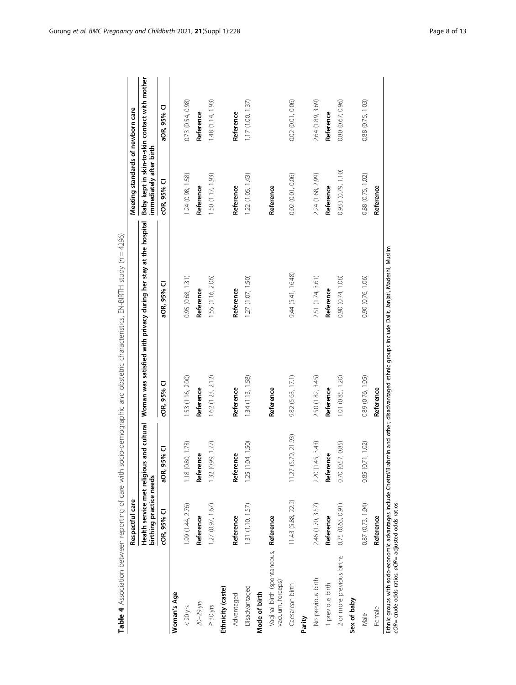<span id="page-7-0"></span>

|                                                           | Respectful care                                         |                     |                                                                                                                                                    |                                                                               | Meeting standards of newborn care |                                               |
|-----------------------------------------------------------|---------------------------------------------------------|---------------------|----------------------------------------------------------------------------------------------------------------------------------------------------|-------------------------------------------------------------------------------|-----------------------------------|-----------------------------------------------|
|                                                           | Health service met religious<br>birthing practice needs |                     |                                                                                                                                                    | and cultural Woman was satisfied with privacy during her stay at the hospital | immediately after birth           | Baby kept in skin-to-skin contact with mother |
|                                                           | COR, 95% CI                                             | aOR, 95% CI         | <b>COR, 95% CI</b>                                                                                                                                 | aOR, 95% CI                                                                   | COR, 95% CI                       | aOR, 95% CI                                   |
| Woman's Age                                               |                                                         |                     |                                                                                                                                                    |                                                                               |                                   |                                               |
| $< 20$ yrs                                                | 1.99 (1.44, 2.76)                                       | 1.18 (0.80, 1.73)   | 1.53 (1.16, 2.00)                                                                                                                                  | 0.95 (0.68, 1.31)                                                             | 1.24 (0.98, 1.58)                 | 0.73 (0.54, 0.98)                             |
| $20-29$ yrs                                               | Reference                                               | Reference           | Reference                                                                                                                                          | Reference                                                                     | Reference                         | Reference                                     |
| $\geq 30$ yrs                                             | 1.27(0.97, 1.67)                                        | 1.32(0.99, 1.77)    | 1.62(1.23, 2.12)                                                                                                                                   | 1.55 (1.16, 2.06)                                                             | 1.50 (1.17, 1.93)                 | 1.48(1.14, 1.93)                              |
| Ethnicity (caste)                                         |                                                         |                     |                                                                                                                                                    |                                                                               |                                   |                                               |
| Advantaged                                                | Reference                                               | Reference           | Reference                                                                                                                                          | Reference                                                                     | Reference                         | Reference                                     |
| Disadvantaged                                             | 1.31 (1.10, 1.57)                                       | 1.25 (1.04, 1.50)   | 1.34(1.13, 1.58)                                                                                                                                   | 1.27(1.07, 1.50)                                                              | 1.22(1.05, 1.43)                  | 1.17(1.00, 1.37)                              |
| Mode of birth                                             |                                                         |                     |                                                                                                                                                    |                                                                               |                                   |                                               |
| Vaginal birth (spontaneous, Reference<br>vacuum, forceps) |                                                         |                     | Reference                                                                                                                                          |                                                                               | Reference                         |                                               |
| Caesarean birth                                           | 11.43 (5.88, 22.2)                                      | 11.27 (5.79, 21.93) | 9.82 (5.63, 17.1)                                                                                                                                  | 9.44(5.41, 16.48)                                                             | 0.02 (0.01, 0.06)                 | 0.02 (0.01, 0.06)                             |
| Parity                                                    |                                                         |                     |                                                                                                                                                    |                                                                               |                                   |                                               |
| No previous birth                                         | 2.46 (1.70, 3.57)                                       | 2.20 (1.45, 3.43)   | 2.50 (1.82, 3.45)                                                                                                                                  | 2.51 (1.74, 3.61)                                                             | 2.24 (1.68, 2.99)                 | 2.64 (1.89, 3.69)                             |
| 1 previous birth                                          | Reference                                               | Reference           | Reference                                                                                                                                          | Reference                                                                     | Reference                         | Reference                                     |
| 2 or more previous births                                 | 0.75(0.63, 0.91)                                        | 0.70(0.57, 0.85)    | 1.01 (0.85, 1.20)                                                                                                                                  | 0.90 (0.74, 1.08)                                                             | 0.933 (0.79, 1.10)                | 0.80 (0.67, 0.96)                             |
| Sex of baby                                               |                                                         |                     |                                                                                                                                                    |                                                                               |                                   |                                               |
| Male                                                      | 0.87(0.73, 1.04)                                        | 0.85(0.71, 1.02)    | 0.89 (0.76, 1.05)                                                                                                                                  | 0.90 (0.76, 1.06)                                                             | 0.88 (0.75, 1.02)                 | 0.88 (0.75, 1.03)                             |
| Female                                                    | Reference                                               |                     | Reference                                                                                                                                          |                                                                               | Reference                         |                                               |
| cOR= crude odds ratios, aOR= adjusted odds ratios         |                                                         |                     | Ethnic groups with socio-economic advantages include Chettr/Brahmin and other; disadvantaged ethnic groups include Dalit, Janjati, Madeshi, Muslim |                                                                               |                                   |                                               |

Table 4 Association between reporting of care with socio-demographic and obstetric characteristics, EN-BIRTH study (n = 4296) Table 4 Association between reporting of care with socio-demographic and obstetric characteristics, EN-BIRTH study (n = 4296)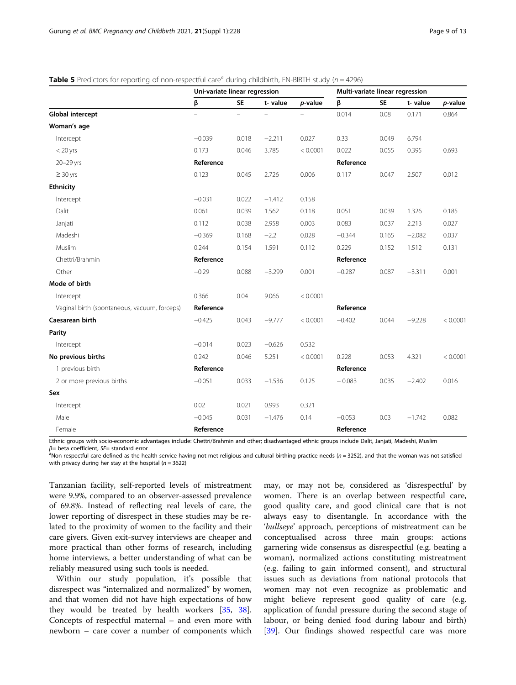<span id="page-8-0"></span>

|  |  |  |  | Table 5 Predictors for reporting of non-respectful care <sup>a</sup> during childbirth, EN-BIRTH study (n = 4296) |
|--|--|--|--|-------------------------------------------------------------------------------------------------------------------|
|  |  |  |  |                                                                                                                   |

|                                              | Uni-variate linear regression |           |          |          | Multi-variate linear regression |           |          |          |
|----------------------------------------------|-------------------------------|-----------|----------|----------|---------------------------------|-----------|----------|----------|
|                                              | β                             | <b>SE</b> | t-value  | p-value  | β                               | <b>SE</b> | t-value  | p-value  |
| Global intercept                             | $\equiv$                      | $\equiv$  | L.       |          | 0.014                           | 0.08      | 0.171    | 0.864    |
| Woman's age                                  |                               |           |          |          |                                 |           |          |          |
| Intercept                                    | $-0.039$                      | 0.018     | $-2.211$ | 0.027    | 0.33                            | 0.049     | 6.794    |          |
| $<$ 20 yrs                                   | 0.173                         | 0.046     | 3.785    | < 0.0001 | 0.022                           | 0.055     | 0.395    | 0.693    |
| 20-29 yrs                                    | Reference                     |           |          |          | Reference                       |           |          |          |
| $\geq 30$ yrs                                | 0.123                         | 0.045     | 2.726    | 0.006    | 0.117                           | 0.047     | 2.507    | 0.012    |
| <b>Ethnicity</b>                             |                               |           |          |          |                                 |           |          |          |
| Intercept                                    | $-0.031$                      | 0.022     | $-1.412$ | 0.158    |                                 |           |          |          |
| Dalit                                        | 0.061                         | 0.039     | 1.562    | 0.118    | 0.051                           | 0.039     | 1.326    | 0.185    |
| Janjati                                      | 0.112                         | 0.038     | 2.958    | 0.003    | 0.083                           | 0.037     | 2.213    | 0.027    |
| Madeshi                                      | $-0.369$                      | 0.168     | $-2.2$   | 0.028    | $-0.344$                        | 0.165     | $-2.082$ | 0.037    |
| Muslim                                       | 0.244                         | 0.154     | 1.591    | 0.112    | 0.229                           | 0.152     | 1.512    | 0.131    |
| Chettri/Brahmin                              | Reference                     |           |          |          | Reference                       |           |          |          |
| Other                                        | $-0.29$                       | 0.088     | $-3.299$ | 0.001    | $-0.287$                        | 0.087     | $-3.311$ | 0.001    |
| Mode of birth                                |                               |           |          |          |                                 |           |          |          |
| Intercept                                    | 0.366                         | 0.04      | 9.066    | < 0.0001 |                                 |           |          |          |
| Vaginal birth (spontaneous, vacuum, forceps) | Reference                     |           |          |          | Reference                       |           |          |          |
| Caesarean birth                              | $-0.425$                      | 0.043     | $-9.777$ | < 0.0001 | $-0.402$                        | 0.044     | $-9.228$ | < 0.0001 |
| Parity                                       |                               |           |          |          |                                 |           |          |          |
| Intercept                                    | $-0.014$                      | 0.023     | $-0.626$ | 0.532    |                                 |           |          |          |
| No previous births                           | 0.242                         | 0.046     | 5.251    | < 0.0001 | 0.228                           | 0.053     | 4.321    | < 0.0001 |
| 1 previous birth                             | Reference                     |           |          |          | Reference                       |           |          |          |
| 2 or more previous births                    | $-0.051$                      | 0.033     | $-1.536$ | 0.125    | $-0.083$                        | 0.035     | $-2.402$ | 0.016    |
| Sex                                          |                               |           |          |          |                                 |           |          |          |
| Intercept                                    | 0.02                          | 0.021     | 0.993    | 0.321    |                                 |           |          |          |
| Male                                         | $-0.045$                      | 0.031     | $-1.476$ | 0.14     | $-0.053$                        | 0.03      | $-1.742$ | 0.082    |
| Female                                       | Reference                     |           |          |          | Reference                       |           |          |          |

Ethnic groups with socio-economic advantages include: Chettri/Brahmin and other; disadvantaged ethnic groups include Dalit, Janjati, Madeshi, Muslim  $β=$  beta coefficient,  $SE=$  standard error

 $a$ Non-respectful care defined as the health service having not met religious and cultural birthing practice needs ( $n = 3252$ ), and that the woman was not satisfied with privacy during her stay at the hospital ( $n = 3622$ )

Tanzanian facility, self-reported levels of mistreatment were 9.9%, compared to an observer-assessed prevalence of 69.8%. Instead of reflecting real levels of care, the lower reporting of disrespect in these studies may be related to the proximity of women to the facility and their care givers. Given exit-survey interviews are cheaper and more practical than other forms of research, including home interviews, a better understanding of what can be reliably measured using such tools is needed.

Within our study population, it's possible that disrespect was "internalized and normalized" by women, and that women did not have high expectations of how they would be treated by health workers [\[35](#page-11-0), [38](#page-12-0)]. Concepts of respectful maternal – and even more with newborn – care cover a number of components which

may, or may not be, considered as 'disrespectful' by women. There is an overlap between respectful care, good quality care, and good clinical care that is not always easy to disentangle. In accordance with the 'bullseye' approach, perceptions of mistreatment can be conceptualised across three main groups: actions garnering wide consensus as disrespectful (e.g. beating a woman), normalized actions constituting mistreatment (e.g. failing to gain informed consent), and structural issues such as deviations from national protocols that women may not even recognize as problematic and might believe represent good quality of care (e.g. application of fundal pressure during the second stage of labour, or being denied food during labour and birth) [[39\]](#page-12-0). Our findings showed respectful care was more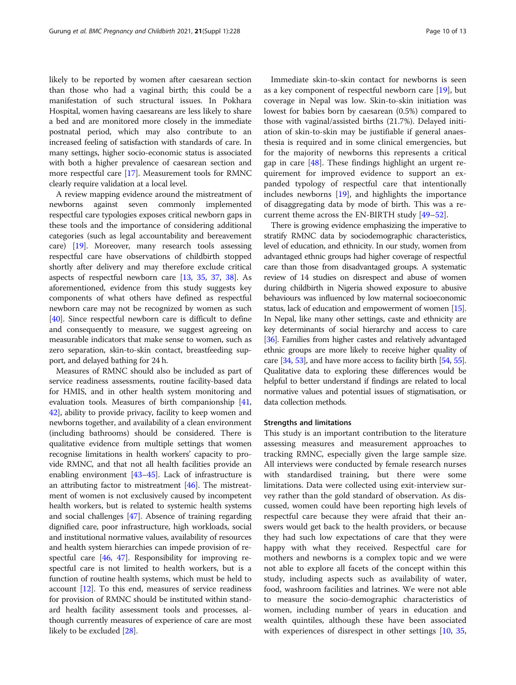likely to be reported by women after caesarean section than those who had a vaginal birth; this could be a manifestation of such structural issues. In Pokhara Hospital, women having caesareans are less likely to share a bed and are monitored more closely in the immediate postnatal period, which may also contribute to an increased feeling of satisfaction with standards of care. In many settings, higher socio-economic status is associated with both a higher prevalence of caesarean section and more respectful care [[17](#page-11-0)]. Measurement tools for RMNC clearly require validation at a local level.

A review mapping evidence around the mistreatment of newborns against seven commonly implemented respectful care typologies exposes critical newborn gaps in these tools and the importance of considering additional categories (such as legal accountability and bereavement care) [[19](#page-11-0)]. Moreover, many research tools assessing respectful care have observations of childbirth stopped shortly after delivery and may therefore exclude critical aspects of respectful newborn care [[13](#page-11-0), [35,](#page-11-0) [37](#page-12-0), [38\]](#page-12-0). As aforementioned, evidence from this study suggests key components of what others have defined as respectful newborn care may not be recognized by women as such [[40](#page-12-0)]. Since respectful newborn care is difficult to define and consequently to measure, we suggest agreeing on measurable indicators that make sense to women, such as zero separation, skin-to-skin contact, breastfeeding support, and delayed bathing for 24 h.

Measures of RMNC should also be included as part of service readiness assessments, routine facility-based data for HMIS, and in other health system monitoring and evaluation tools. Measures of birth companionship [[41](#page-12-0), [42](#page-12-0)], ability to provide privacy, facility to keep women and newborns together, and availability of a clean environment (including bathrooms) should be considered. There is qualitative evidence from multiple settings that women recognise limitations in health workers' capacity to provide RMNC, and that not all health facilities provide an enabling environment [\[43](#page-12-0)–[45](#page-12-0)]. Lack of infrastructure is an attributing factor to mistreatment  $[46]$  $[46]$  $[46]$ . The mistreatment of women is not exclusively caused by incompetent health workers, but is related to systemic health systems and social challenges [\[47](#page-12-0)]. Absence of training regarding dignified care, poor infrastructure, high workloads, social and institutional normative values, availability of resources and health system hierarchies can impede provision of respectful care [\[46,](#page-12-0) [47\]](#page-12-0). Responsibility for improving respectful care is not limited to health workers, but is a function of routine health systems, which must be held to account [\[12](#page-11-0)]. To this end, measures of service readiness for provision of RMNC should be instituted within standard health facility assessment tools and processes, although currently measures of experience of care are most likely to be excluded [\[28\]](#page-11-0).

Immediate skin-to-skin contact for newborns is seen as a key component of respectful newborn care [[19](#page-11-0)], but coverage in Nepal was low. Skin-to-skin initiation was lowest for babies born by caesarean (0.5%) compared to those with vaginal/assisted births (21.7%). Delayed initiation of skin-to-skin may be justifiable if general anaesthesia is required and in some clinical emergencies, but for the majority of newborns this represents a critical gap in care  $[48]$  $[48]$ . These findings highlight an urgent requirement for improved evidence to support an expanded typology of respectful care that intentionally includes newborns [[19](#page-11-0)], and highlights the importance of disaggregating data by mode of birth. This was a recurrent theme across the EN-BIRTH study [[49](#page-12-0)–[52](#page-12-0)].

There is growing evidence emphasizing the imperative to stratify RMNC data by sociodemographic characteristics, level of education, and ethnicity. In our study, women from advantaged ethnic groups had higher coverage of respectful care than those from disadvantaged groups. A systematic review of 14 studies on disrespect and abuse of women during childbirth in Nigeria showed exposure to abusive behaviours was influenced by low maternal socioeconomic status, lack of education and empowerment of women [\[15](#page-11-0)]. In Nepal, like many other settings, caste and ethnicity are key determinants of social hierarchy and access to care [[36](#page-12-0)]. Families from higher castes and relatively advantaged ethnic groups are more likely to receive higher quality of care [[34](#page-11-0), [53](#page-12-0)], and have more access to facility birth [\[54](#page-12-0), [55](#page-12-0)]. Qualitative data to exploring these differences would be helpful to better understand if findings are related to local normative values and potential issues of stigmatisation, or data collection methods.

#### Strengths and limitations

This study is an important contribution to the literature assessing measures and measurement approaches to tracking RMNC, especially given the large sample size. All interviews were conducted by female research nurses with standardised training, but there were some limitations. Data were collected using exit-interview survey rather than the gold standard of observation. As discussed, women could have been reporting high levels of respectful care because they were afraid that their answers would get back to the health providers, or because they had such low expectations of care that they were happy with what they received. Respectful care for mothers and newborns is a complex topic and we were not able to explore all facets of the concept within this study, including aspects such as availability of water, food, washroom facilities and latrines. We were not able to measure the socio-demographic characteristics of women, including number of years in education and wealth quintiles, although these have been associated with experiences of disrespect in other settings [[10](#page-11-0), [35](#page-11-0),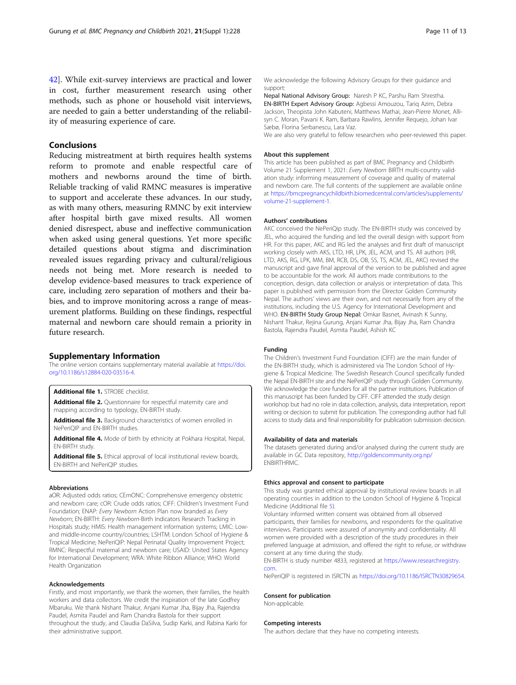#### <span id="page-10-0"></span>Conclusions

Reducing mistreatment at birth requires health systems reform to promote and enable respectful care of mothers and newborns around the time of birth. Reliable tracking of valid RMNC measures is imperative to support and accelerate these advances. In our study, as with many others, measuring RMNC by exit interview after hospital birth gave mixed results. All women denied disrespect, abuse and ineffective communication when asked using general questions. Yet more specific detailed questions about stigma and discrimination revealed issues regarding privacy and cultural/religious needs not being met. More research is needed to develop evidence-based measures to track experience of care, including zero separation of mothers and their babies, and to improve monitoring across a range of measurement platforms. Building on these findings, respectful maternal and newborn care should remain a priority in future research.

#### Supplementary Information

The online version contains supplementary material available at [https://doi.](https://doi.org/10.1186/s12884-020-03516-4) [org/10.1186/s12884-020-03516-4.](https://doi.org/10.1186/s12884-020-03516-4)

Additional file 1. STROBE checklist.

Additional file 2. Questionnaire for respectful maternity care and mapping according to typology, EN-BIRTH study.

Additional file 3. Background characteristics of women enrolled in NePeriQIP and EN-BIRTH studies.

Additional file 4. Mode of birth by ethnicity at Pokhara Hospital, Nepal, EN-BIRTH study.

Additional file 5. Ethical approval of local institutional review boards, EN-BIRTH and NePeriQIP studies.

#### Abbreviations

aOR: Adjusted odds ratios; CEmONC: Comprehensive emergency obstetric and newborn care; cOR: Crude odds ratios; CIFF: Children's Investment Fund Foundation; ENAP: Every Newborn Action Plan now branded as Every Newborn; EN-BIRTH: Every Newborn-Birth Indicators Research Tracking in Hospitals study; HMIS: Health management information systems; LMIC: Lowand middle-income country/countries; LSHTM: London School of Hygiene & Tropical Medicine; NePeriQIP: Nepal Perinatal Quality Improvement Project; RMNC: Respectful maternal and newborn care; USAID: United States Agency for International Development; WRA: White Ribbon Alliance; WHO: World Health Organization

#### Acknowledgements

Firstly, and most importantly, we thank the women, their families, the health workers and data collectors. We credit the inspiration of the late Godfrey Mbaruku. We thank Nishant Thakur, Anjani Kumar Jha, Bijay Jha, Rajendra Paudel, Asmita Paudel and Ram Chandra Bastola for their support throughout the study, and Claudia DaSilva, Sudip Karki, and Rabina Karki for their administrative support.

We acknowledge the following Advisory Groups for their guidance and support:

Nepal National Advisory Group: Naresh P KC, Parshu Ram Shrestha. EN-BIRTH Expert Advisory Group: Agbessi Amouzou, Tariq Azim, Debra Jackson, Theopista John Kabuteni, Matthews Mathai, Jean-Pierre Monet, Allisyn C. Moran, Pavani K. Ram, Barbara Rawlins, Jennifer Requejo, Johan Ivar Sæbø, Florina Serbanescu, Lara Vaz.

We are also very grateful to fellow researchers who peer-reviewed this paper.

#### About this supplement

This article has been published as part of BMC Pregnancy and Childbirth Volume 21 Supplement 1, 2021: Every Newborn BIRTH multi-country validation study: informing measurement of coverage and quality of maternal and newborn care. The full contents of the supplement are available online at [https://bmcpregnancychildbirth.biomedcentral.com/articles/supplements/](https://bmcpregnancychildbirth.biomedcentral.com/articles/supplements/volume-21-supplement-1) [volume-21-supplement-1.](https://bmcpregnancychildbirth.biomedcentral.com/articles/supplements/volume-21-supplement-1)

#### Authors' contributions

AKC conceived the NePeriQip study. The EN-BIRTH study was conceived by JEL, who acquired the funding and led the overall design with support from HR. For this paper, AKC and RG led the analyses and first draft of manuscript working closely with AKS, LTD, HR, LPK, JEL, ACM, and TS. All authors (HR, LTD, AKS, RG, LPK, MM, BM, RCB, DS, OB, SS, TS, ACM, JEL, AKC) revised the manuscript and gave final approval of the version to be published and agree to be accountable for the work. All authors made contributions to the conception, design, data collection or analysis or interpretation of data. This paper is published with permission from the Director Golden Community Nepal. The authors' views are their own, and not necessarily from any of the institutions, including the U.S. Agency for International Development and WHO. EN-BIRTH Study Group Nepal: Omkar Basnet, Avinash K Sunny, Nishant Thakur, Rejina Gurung, Anjani Kumar Jha, Bijay Jha, Ram Chandra Bastola, Rajendra Paudel, Asmita Paudel, Ashish KC

#### Funding

The Children's Investment Fund Foundation (CIFF) are the main funder of the EN-BIRTH study, which is administered via The London School of Hygiene & Tropical Medicine. The Swedish Research Council specifically funded the Nepal EN-BIRTH site and the NePeriQIP study through Golden Community. We acknowledge the core funders for all the partner institutions. Publication of this manuscript has been funded by CIFF. CIFF attended the study design workshop but had no role in data collection, analysis, data interpretation, report writing or decision to submit for publication. The corresponding author had full access to study data and final responsibility for publication submission decision.

#### Availability of data and materials

The datasets generated during and/or analysed during the current study are available in GC Data repository, [http://goldencommunity.org.np/](http://goldencommunity.org.np/download/covid19-dataset-january-to-june-30-2020-form-6/) ENBIRTHRMC.

#### Ethics approval and consent to participate

This study was granted ethical approval by institutional review boards in all operating counties in addition to the London School of Hygiene & Tropical Medicine (Additional file 5).

Voluntary informed written consent was obtained from all observed participants, their families for newborns, and respondents for the qualitative interviews. Participants were assured of anonymity and confidentiality. All women were provided with a description of the study procedures in their preferred language at admission, and offered the right to refuse, or withdraw consent at any time during the study.

EN-BIRTH is study number 4833, registered at [https://www.researchregistry.](https://www.researchregistry.com) [com](https://www.researchregistry.com).

NePeriQIP is registered in ISRCTN as [https://doi.org/10.1186/ISRCTN30829654.](https://doi.org/10.1186/ISRCTN30829654)

#### Consent for publication

Non-applicable.

#### Competing interests

The authors declare that they have no competing interests.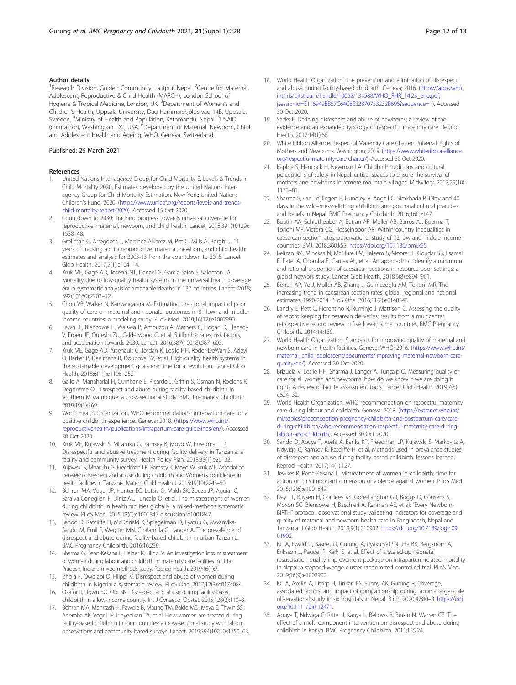#### <span id="page-11-0"></span>Author details

<sup>1</sup> Research Division, Golden Community, Lalitpur, Nepal. <sup>2</sup> Centre for Maternal, Adolescent, Reproductive & Child Health (MARCH), London School of Hygiene & Tropical Medicine, London, UK. <sup>3</sup>Department of Women's and Children's Health, Uppsala University, Dag Hammarskjölds väg 14B, Uppsala, Sweden. <sup>4</sup>Ministry of Health and Population, Kathmandu, Nepal. <sup>5</sup>USAID (contractor), Washington, DC, USA. <sup>6</sup>Department of Maternal, Newborn, Child and Adolescent Health and Ageing, WHO, Geneva, Switzerland.

#### Published: 26 March 2021

#### References

- 1. United Nations Inter-agency Group for Child Mortality E. Levels & Trends in Child Mortality 2020, Estimates developed by the United Nations Interagency Group for Child Mortality Estimation. New York: United Nations Children's Fund; 2020. [\(https://www.unicef.org/reports/levels-and-trends](https://www.unicef.org/reports/levels-and-trends-child-mortality-report-2020)[child-mortality-report-2020\)](https://www.unicef.org/reports/levels-and-trends-child-mortality-report-2020). Accessed 15 Oct 2020.
- 2. Countdown to 2030: Tracking progress towards universal coverage for reproductive, maternal, newborn, and child health. Lancet. 2018;391(10129): 1538–48.
- 3. Grollman C, Arregoces L, Martinez-Alvarez M, Pitt C, Mills A, Borghi J. 11 years of tracking aid to reproductive, maternal, newborn, and child health: estimates and analysis for 2003-13 from the countdown to 2015. Lancet Glob Health. 2017;5(1):e104–14.
- 4. Kruk ME, Gage AD, Joseph NT, Danaei G, Garcia-Saiso S, Salomon JA. Mortality due to low-quality health systems in the universal health coverage era: a systematic analysis of amenable deaths in 137 countries. Lancet. 2018; 392(10160):2203–12.
- 5. Chou VB, Walker N, Kanyangarara M. Estimating the global impact of poor quality of care on maternal and neonatal outcomes in 81 low- and middleincome countries: a modeling study. PLoS Med. 2019;16(12):e1002990.
- Lawn JE, Blencowe H, Waiswa P, Amouzou A, Mathers C, Hogan D, Flenady V, Froen JF, Qureshi ZU, Calderwood C, et al. Stillbirths: rates, risk factors, and acceleration towards 2030. Lancet. 2016;387(10018):587–603.
- 7. Kruk ME, Gage AD, Arsenault C, Jordan K, Leslie HH, Roder-DeWan S, Adeyi O, Barker P, Daelmans B, Doubova SV, et al. High-quality health systems in the sustainable development goals era: time for a revolution. Lancet Glob Health. 2018;6(11):e1196–252.
- Galle A, Manaharlal H, Cumbane E, Picardo J, Griffin S, Osman N, Roelens K, Degomme O. Disrespect and abuse during facility-based childbirth in southern Mozambique: a cross-sectional study. BMC Pregnancy Childbirth. 2019;19(1):369.
- 9. World Health Organization. WHO recommendations: intrapartum care for a positive childbirth experience. Geneva; 2018. ([https://www.who.int/](https://www.who.int/reproductivehealth/publications/intrapartum-care-guidelines/en/) [reproductivehealth/publications/intrapartum-care-guidelines/en/\)](https://www.who.int/reproductivehealth/publications/intrapartum-care-guidelines/en/). Accessed 30 Oct 2020.
- 10. Kruk ME, Kujawski S, Mbaruku G, Ramsey K, Moyo W, Freedman LP. Disrespectful and abusive treatment during facility delivery in Tanzania: a facility and community survey. Health Policy Plan. 2018;33(1):e26–33.
- 11. Kujawski S, Mbaruku G, Freedman LP, Ramsey K, Moyo W, Kruk ME. Association between disrespect and abuse during childbirth and Women's confidence in health facilities in Tanzania. Matern Child Health J. 2015;19(10):2243–50.
- 12. Bohren MA, Vogel JP, Hunter EC, Lutsiv O, Makh SK, Souza JP, Aguiar C, Saraiva Coneglian F, Diniz AL, Tuncalp O, et al. The mistreatment of women during childbirth in health facilities globally: a mixed-methods systematic review. PLoS Med. 2015;12(6):e1001847 discussion e1001847.
- 13. Sando D, Ratcliffe H, McDonald K, Spiegelman D, Lyatuu G, Mwanyika-Sando M, Emil F, Wegner MN, Chalamilla G, Langer A. The prevalence of disrespect and abuse during facility-based childbirth in urban Tanzania. BMC Pregnancy Childbirth. 2016;16:236.
- 14. Sharma G, Penn-Kekana L, Halder K, Filippi V. An investigation into mistreatment of women during labour and childbirth in maternity care facilities in Uttar Pradesh, India: a mixed methods study. Reprod Health. 2019;16(1):7.
- 15. Ishola F, Owolabi O, Filippi V. Disrespect and abuse of women during childbirth in Nigeria: a systematic review. PLoS One. 2017;12(3):e0174084.
- 16. Okafor II, Ugwu EO, Obi SN. Disrespect and abuse during facility-based childbirth in a low-income country. Int J Gynaecol Obstet. 2015;128(2):110–3.
- 17. Bohren MA, Mehrtash H, Fawole B, Maung TM, Balde MD, Maya E, Thwin SS, Aderoba AK, Vogel JP, Irinyenikan TA, et al. How women are treated during facility-based childbirth in four countries: a cross-sectional study with labour observations and community-based surveys. Lancet. 2019;394(10210):1750–63.
- 18. World Health Organization. The prevention and elimination of disrespect and abuse during facility-based childbirth. Geneva; 2016. [\(https://apps.who.](https://apps.who.int/iris/bitstream/handle/10665/134588/WHO_RHR_14.23_eng.pdf;jsessionid=E116949BB57C64C8E22870753232B696?sequence=1) [int/iris/bitstream/handle/10665/134588/WHO\\_RHR\\_14.23\\_eng.pdf;](https://apps.who.int/iris/bitstream/handle/10665/134588/WHO_RHR_14.23_eng.pdf;jsessionid=E116949BB57C64C8E22870753232B696?sequence=1) [jsessionid=E116949BB57C64C8E22870753232B696?sequence=1](https://apps.who.int/iris/bitstream/handle/10665/134588/WHO_RHR_14.23_eng.pdf;jsessionid=E116949BB57C64C8E22870753232B696?sequence=1)). Accessed 30 Oct 2020.
- 19. Sacks E. Defining disrespect and abuse of newborns: a review of the evidence and an expanded typology of respectful maternity care. Reprod Health. 2017;14(1):66.
- 20. White Ribbon Alliance. Respectful Maternity Care Charter: Universal Rights of Mothers and Newborns. Washington; 2019. ([https://www.whiteribbonalliance.](https://www.whiteribbonalliance.org/respectful-maternity-care-charter/) [org/respectful-maternity-care-charter/\)](https://www.whiteribbonalliance.org/respectful-maternity-care-charter/). Accessed 30 Oct 2020.
- 21. Kaphle S, Hancock H, Newman LA, Childbirth traditions and cultural perceptions of safety in Nepal: critical spaces to ensure the survival of mothers and newborns in remote mountain villages. Midwifery. 2013;29(10): 1173–81.
- 22. Sharma S, van Teijlingen E, Hundley V, Angell C, Simkhada P. Dirty and 40 days in the wilderness: eliciting childbirth and postnatal cultural practices and beliefs in Nepal. BMC Pregnancy Childbirth. 2016;16(1):147.
- 23. Boatin AA, Schlotheuber A, Betran AP, Moller AB, Barros AJ, Boerma T, Torloni MR, Victora CG, Hosseinpoor AR. Within country inequalities in caesarean section rates: observational study of 72 low and middle income countries. BMJ. 2018;360:k55. [https://doi.org/10.1136/bmj.k55.](https://doi.org/10.1136/bmj.k55)
- 24. Belizan JM, Minckas N, McClure EM, Saleem S, Moore JL, Goudar SS, Esamai F, Patel A, Chomba E, Garces AL, et al. An approach to identify a minimum and rational proportion of caesarean sections in resource-poor settings: a global network study. Lancet Glob Health. 2018;6(8):e894–901.
- 25. Betran AP, Ye J, Moller AB, Zhang J, Gulmezoglu AM, Torloni MR. The increasing trend in caesarean section rates: global, regional and national estimates: 1990-2014. PLoS One. 2016;11(2):e0148343.
- 26. Landry E, Pett C, Fiorentino R, Ruminjo J, Mattison C. Assessing the quality of record keeping for cesarean deliveries: results from a multicenter retrospective record review in five low-income countries. BMC Pregnancy Childbirth. 2014;14:139.
- 27. World Health Organization. Standards for improving quality of maternal and newborn care in health facilities. Geneva: WHO; 2016. [\(https://www.who.int/](https://www.who.int/maternal_child_adolescent/documents/improving-maternal-newborn-care-quality/en/) [maternal\\_child\\_adolescent/documents/improving-maternal-newborn-care](https://www.who.int/maternal_child_adolescent/documents/improving-maternal-newborn-care-quality/en/)[quality/en/\)](https://www.who.int/maternal_child_adolescent/documents/improving-maternal-newborn-care-quality/en/). Accessed 30 Oct 2020.
- 28. Brizuela V, Leslie HH, Sharma J, Langer A, Tuncalp O. Measuring quality of care for all women and newborns: how do we know if we are doing it right? A review of facility assessment tools. Lancet Glob Health. 2019;7(5): e624–32.
- 29. World Health Organization. WHO recommendation on respectful maternity care during labour and childbirth. Geneva; 2018. ([https://extranet.who.int/](https://extranet.who.int/rhl/topics/preconception-pregnancy-childbirth-and-postpartum-care/care-during-childbirth/who-recommendation-respectful-maternity-care-during-labour-and-childbirth) [rhl/topics/preconception-pregnancy-childbirth-and-postpartum-care/care](https://extranet.who.int/rhl/topics/preconception-pregnancy-childbirth-and-postpartum-care/care-during-childbirth/who-recommendation-respectful-maternity-care-during-labour-and-childbirth)[during-childbirth/who-recommendation-respectful-maternity-care-during](https://extranet.who.int/rhl/topics/preconception-pregnancy-childbirth-and-postpartum-care/care-during-childbirth/who-recommendation-respectful-maternity-care-during-labour-and-childbirth)[labour-and-childbirth\)](https://extranet.who.int/rhl/topics/preconception-pregnancy-childbirth-and-postpartum-care/care-during-childbirth/who-recommendation-respectful-maternity-care-during-labour-and-childbirth). Accessed 30 Oct 2020.
- 30. Sando D, Abuya T, Asefa A, Banks KP, Freedman LP, Kujawski S, Markovitz A, Ndwiga C, Ramsey K, Ratcliffe H, et al. Methods used in prevalence studies of disrespect and abuse during facility based childbirth: lessons learned. Reprod Health. 2017;14(1):127.
- 31. Jewkes R, Penn-Kekana L. Mistreatment of women in childbirth: time for action on this important dimension of violence against women. PLoS Med. 2015;12(6):e1001849.
- 32. Day LT, Ruysen H, Gordeev VS, Gore-Langton GR, Boggs D, Cousens S, Moxon SG, Blencowe H, Baschieri A, Rahman AE, et al. "Every Newborn-BIRTH" protocol: observational study validating indicators for coverage and quality of maternal and newborn health care in Bangladesh, Nepal and Tanzania. J Glob Health. 2019;9(1):010902. [https://doi.org/10.7189/jogh.09.](https://doi.org/10.7189/jogh.09.01902) [01902.](https://doi.org/10.7189/jogh.09.01902)
- 33. KC A, Ewald U, Basnet O, Gurung A, Pyakuryal SN, Jha BK, Bergstrom A, Eriksson L, Paudel P, Karki S, et al. Effect of a scaled-up neonatal resuscitation quality improvement package on intrapartum-related mortality in Nepal: a stepped-wedge cluster randomized controlled trial. PLoS Med. 2019;16(9):e1002900.
- 34. KC A, Axelin A, Litorp H, Tinkari BS, Sunny AK, Gurung R. Coverage, associated factors, and impact of companionship during labor: a large-scale observational study in six hospitals in Nepal. Birth. 2020;47:80–8. [https://doi.](https://doi.org/10.1111/birt.12471) [org/10.1111/birt.12471.](https://doi.org/10.1111/birt.12471)
- 35. Abuya T, Ndwiga C, Ritter J, Kanya L, Bellows B, Binkin N, Warren CE. The effect of a multi-component intervention on disrespect and abuse during childbirth in Kenya. BMC Pregnancy Childbirth. 2015;15:224.